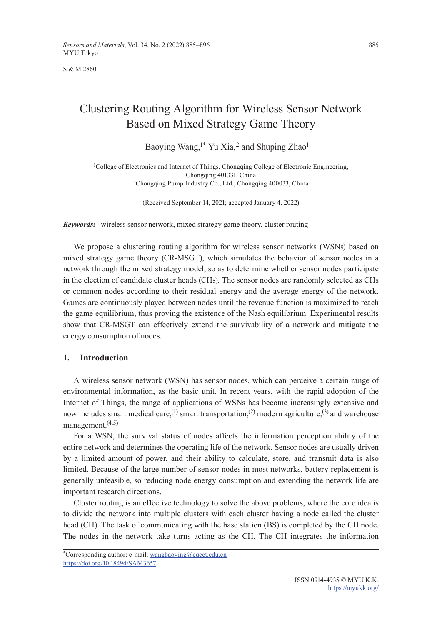S & M 2860

# Clustering Routing Algorithm for Wireless Sensor Network Based on Mixed Strategy Game Theory

Baoying Wang,<sup>1\*</sup> Yu Xia,<sup>2</sup> and Shuping Zhao<sup>1</sup>

<sup>1</sup>College of Electronics and Internet of Things, Chongqing College of Electronic Engineering, Chongqing 401331, China 2Chongqing Pump Industry Co., Ltd., Chongqing 400033, China

(Received September 14, 2021; accepted January 4, 2022)

*Keywords:* wireless sensor network, mixed strategy game theory, cluster routing

We propose a clustering routing algorithm for wireless sensor networks (WSNs) based on mixed strategy game theory (CR-MSGT), which simulates the behavior of sensor nodes in a network through the mixed strategy model, so as to determine whether sensor nodes participate in the election of candidate cluster heads (CHs). The sensor nodes are randomly selected as CHs or common nodes according to their residual energy and the average energy of the network. Games are continuously played between nodes until the revenue function is maximized to reach the game equilibrium, thus proving the existence of the Nash equilibrium. Experimental results show that CR-MSGT can effectively extend the survivability of a network and mitigate the energy consumption of nodes.

#### **1. Introduction**

A wireless sensor network (WSN) has sensor nodes, which can perceive a certain range of environmental information, as the basic unit. In recent years, with the rapid adoption of the Internet of Things, the range of applications of WSNs has become increasingly extensive and now includes smart medical care,<sup>(1)</sup> smart transportation,<sup>(2)</sup> modern agriculture,<sup>(3)</sup> and warehouse management.(4,5)

For a WSN, the survival status of nodes affects the information perception ability of the entire network and determines the operating life of the network. Sensor nodes are usually driven by a limited amount of power, and their ability to calculate, store, and transmit data is also limited. Because of the large number of sensor nodes in most networks, battery replacement is generally unfeasible, so reducing node energy consumption and extending the network life are important research directions.

Cluster routing is an effective technology to solve the above problems, where the core idea is to divide the network into multiple clusters with each cluster having a node called the cluster head (CH). The task of communicating with the base station (BS) is completed by the CH node. The nodes in the network take turns acting as the CH. The CH integrates the information

<sup>\*</sup>Corresponding author: e-mail: [wangbaoying@cqcet.edu.cn](mailto:wangbaoying@cqcet.edu.cn) <https://doi.org/10.18494/SAM3657>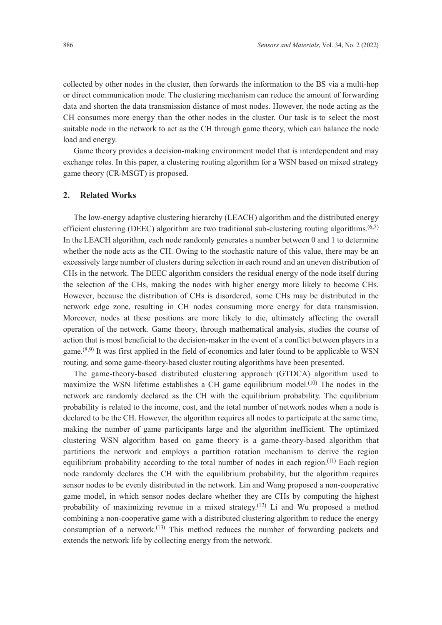collected by other nodes in the cluster, then forwards the information to the BS via a multi-hop or direct communication mode. The clustering mechanism can reduce the amount of forwarding data and shorten the data transmission distance of most nodes. However, the node acting as the CH consumes more energy than the other nodes in the cluster. Our task is to select the most suitable node in the network to act as the CH through game theory, which can balance the node load and energy.

Game theory provides a decision-making environment model that is interdependent and may exchange roles. In this paper, a clustering routing algorithm for a WSN based on mixed strategy game theory (CR-MSGT) is proposed.

## **2. Related Works**

The low-energy adaptive clustering hierarchy (LEACH) algorithm and the distributed energy efficient clustering (DEEC) algorithm are two traditional sub-clustering routing algorithms. $(6,7)$ In the LEACH algorithm, each node randomly generates a number between 0 and 1 to determine whether the node acts as the CH. Owing to the stochastic nature of this value, there may be an excessively large number of clusters during selection in each round and an uneven distribution of CHs in the network. The DEEC algorithm considers the residual energy of the node itself during the selection of the CHs, making the nodes with higher energy more likely to become CHs. However, because the distribution of CHs is disordered, some CHs may be distributed in the network edge zone, resulting in CH nodes consuming more energy for data transmission. Moreover, nodes at these positions are more likely to die, ultimately affecting the overall operation of the network. Game theory, through mathematical analysis, studies the course of action that is most beneficial to the decision-maker in the event of a conflict between players in a game.<sup>(8,9)</sup> It was first applied in the field of economics and later found to be applicable to WSN routing, and some game-theory-based cluster routing algorithms have been presented.

The game-theory-based distributed clustering approach (GTDCA) algorithm used to maximize the WSN lifetime establishes a CH game equilibrium model.(10) The nodes in the network are randomly declared as the CH with the equilibrium probability. The equilibrium probability is related to the income, cost, and the total number of network nodes when a node is declared to be the CH. However, the algorithm requires all nodes to participate at the same time, making the number of game participants large and the algorithm inefficient. The optimized clustering WSN algorithm based on game theory is a game-theory-based algorithm that partitions the network and employs a partition rotation mechanism to derive the region equilibrium probability according to the total number of nodes in each region.<sup>(11)</sup> Each region node randomly declares the CH with the equilibrium probability, but the algorithm requires sensor nodes to be evenly distributed in the network. Lin and Wang proposed a non-cooperative game model, in which sensor nodes declare whether they are CHs by computing the highest probability of maximizing revenue in a mixed strategy.<sup>(12)</sup> Li and Wu proposed a method combining a non-cooperative game with a distributed clustering algorithm to reduce the energy consumption of a network.<sup>(13)</sup> This method reduces the number of forwarding packets and extends the network life by collecting energy from the network.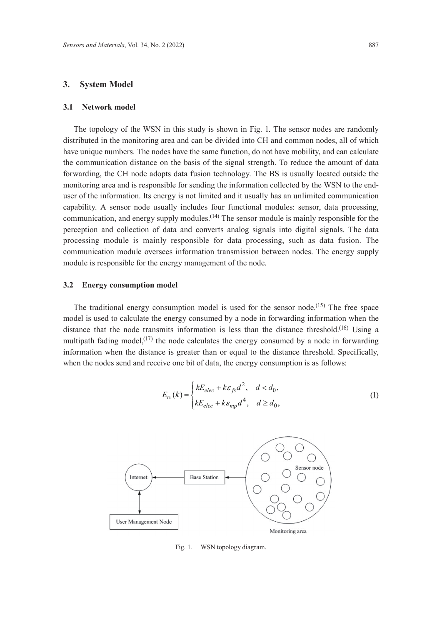## **3. System Model**

#### **3.1 Network model**

The topology of the WSN in this study is shown in Fig. 1. The sensor nodes are randomly distributed in the monitoring area and can be divided into CH and common nodes, all of which have unique numbers. The nodes have the same function, do not have mobility, and can calculate the communication distance on the basis of the signal strength. To reduce the amount of data forwarding, the CH node adopts data fusion technology. The BS is usually located outside the monitoring area and is responsible for sending the information collected by the WSN to the enduser of the information. Its energy is not limited and it usually has an unlimited communication capability. A sensor node usually includes four functional modules: sensor, data processing, communication, and energy supply modules.<sup>(14)</sup> The sensor module is mainly responsible for the perception and collection of data and converts analog signals into digital signals. The data processing module is mainly responsible for data processing, such as data fusion. The communication module oversees information transmission between nodes. The energy supply module is responsible for the energy management of the node.

#### **3.2 Energy consumption model**

The traditional energy consumption model is used for the sensor node.<sup>(15)</sup> The free space model is used to calculate the energy consumed by a node in forwarding information when the distance that the node transmits information is less than the distance threshold.<sup>(16)</sup> Using a multipath fading model, $(17)$  the node calculates the energy consumed by a node in forwarding information when the distance is greater than or equal to the distance threshold. Specifically, when the nodes send and receive one bit of data, the energy consumption is as follows:

$$
E_{tx}(k) = \begin{cases} kE_{elec} + k\varepsilon_{fs}d^2, & d < d_0, \\ kE_{elec} + k\varepsilon_{mp}d^4, & d \ge d_0, \end{cases}
$$
 (1)



Fig. 1. WSN topology diagram.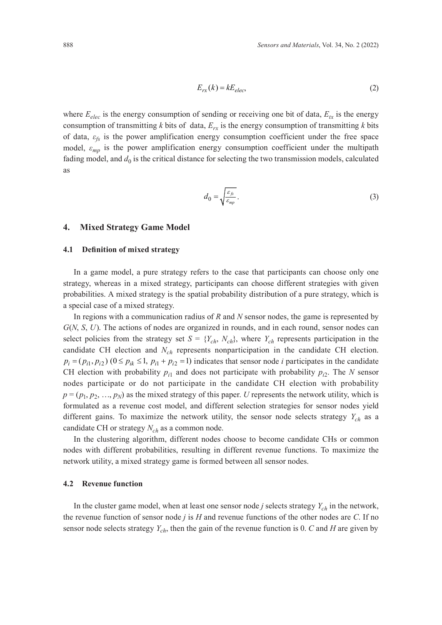$$
E_{rx}(k) = kE_{elec},\tag{2}
$$

where  $E_{elec}$  is the energy consumption of sending or receiving one bit of data,  $E_{tx}$  is the energy consumption of transmitting *k* bits of data,  $E_{rx}$  is the energy consumption of transmitting *k* bits of data, *εfs* is the power amplification energy consumption coefficient under the free space model,  $\varepsilon_{mp}$  is the power amplification energy consumption coefficient under the multipath fading model, and  $d_0$  is the critical distance for selecting the two transmission models, calculated as

$$
d_0 = \sqrt{\frac{\varepsilon_{fs}}{\varepsilon_{mp}}}.
$$
 (3)

### **4. Mixed Strategy Game Model**

## **4.1 Definition of mixed strategy**

In a game model, a pure strategy refers to the case that participants can choose only one strategy, whereas in a mixed strategy, participants can choose different strategies with given probabilities. A mixed strategy is the spatial probability distribution of a pure strategy, which is a special case of a mixed strategy.

In regions with a communication radius of *R* and *N* sensor nodes, the game is represented by *G*(*N*, *S*, *U*). The actions of nodes are organized in rounds, and in each round, sensor nodes can select policies from the strategy set  $S = \{Y_{ch}, N_{ch}\}$ , where  $Y_{ch}$  represents participation in the candidate CH election and N<sub>ch</sub> represents nonparticipation in the candidate CH election.  $p_i = (p_{i1}, p_{i2})$   $(0 \le p_{ik} \le 1, p_{i1} + p_{i2} = 1)$  indicates that sensor node *i* participates in the candidate CH election with probability  $p_{i1}$  and does not participate with probability  $p_{i2}$ . The *N* sensor nodes participate or do not participate in the candidate CH election with probability  $p = (p_1, p_2, \ldots, p_N)$  as the mixed strategy of this paper. *U* represents the network utility, which is formulated as a revenue cost model, and different selection strategies for sensor nodes yield different gains. To maximize the network utility, the sensor node selects strategy *Ych* as a candidate CH or strategy  $N_{ch}$  as a common node.

In the clustering algorithm, different nodes choose to become candidate CHs or common nodes with different probabilities, resulting in different revenue functions. To maximize the network utility, a mixed strategy game is formed between all sensor nodes.

## **4.2 Revenue function**

In the cluster game model, when at least one sensor node *j* selects strategy  $Y_{ch}$  in the network, the revenue function of sensor node *j* is *H* and revenue functions of the other nodes are *C*. If no sensor node selects strategy *Ych*, then the gain of the revenue function is 0. *C* and *H* are given by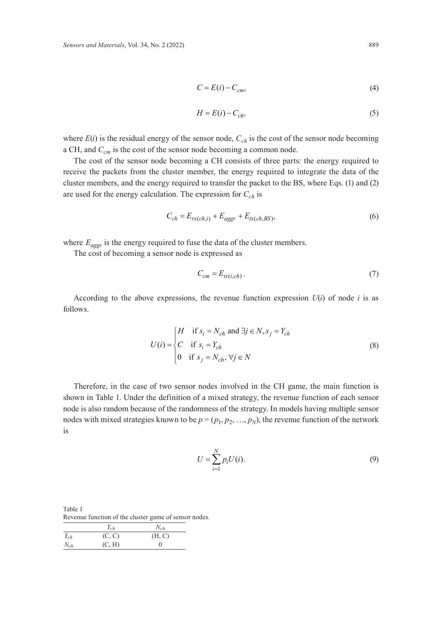$$
C = E(i) - C_{cm},\tag{4}
$$

$$
H = E(i) - C_{ch},\tag{5}
$$

where  $E(i)$  is the residual energy of the sensor node,  $C_{ch}$  is the cost of the sensor node becoming a CH, and  $C_{cm}$  is the cost of the sensor node becoming a common node.

The cost of the sensor node becoming a CH consists of three parts: the energy required to receive the packets from the cluster member, the energy required to integrate the data of the cluster members, and the energy required to transfer the packet to the BS, where Eqs. (1) and (2) are used for the energy calculation. The expression for  $C_{ch}$  is

$$
C_{ch} = E_{rx(ch,i)} + E_{aggr} + E_{tx(ch,BS)},
$$
\n<sup>(6)</sup>

where  $E_{aggr}$  is the energy required to fuse the data of the cluster members.

The cost of becoming a sensor node is expressed as

$$
C_{cm} = E_{tx(i, ch)}.
$$
\n<sup>(7)</sup>

According to the above expressions, the revenue function expression  $U(i)$  of node *i* is as follows.

$$
U(i) = \begin{cases} H & \text{if } s_i = N_{ch} \text{ and } \exists j \in N, s_j = Y_{ch} \\ C & \text{if } s_i = Y_{ch} \\ 0 & \text{if } s_j = N_{ch}, \forall j \in N \end{cases}
$$
 (8)

Therefore, in the case of two sensor nodes involved in the CH game, the main function is shown in Table 1. Under the definition of a mixed strategy, the revenue function of each sensor node is also random because of the randomness of the strategy. In models having multiple sensor nodes with mixed strategies known to be  $p = (p_1, p_2, ..., p_N)$ , the revenue function of the network is

$$
U = \sum_{i=1}^{N} p_i U(i).
$$
 (9)

Table 1 Revenue function of the cluster game of sensor nodes.

|          | $Y_{ch}$ | $N_{ch}$ |
|----------|----------|----------|
| $Y_{ch}$ | (C, C)   | (H, C)   |
| $N_{ch}$ | (C, H)   |          |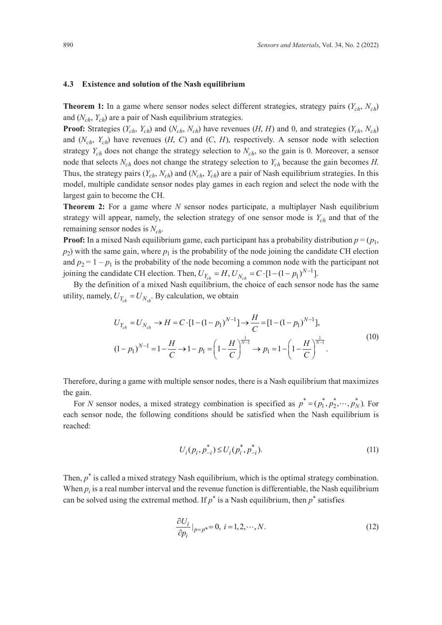#### **4.3 Existence and solution of the Nash equilibrium**

**Theorem 1:** In a game where sensor nodes select different strategies, strategy pairs  $(Y_{ch}, N_{ch})$ and (*Nch*, *Ych*) are a pair of Nash equilibrium strategies.

**Proof:** Strategies  $(Y_{ch}, Y_{ch})$  and  $(N_{ch}, N_{ch})$  have revenues  $(H, H)$  and 0, and strategies  $(Y_{ch}, N_{ch})$ and  $(N_{ch}, Y_{ch})$  have revenues  $(H, C)$  and  $(C, H)$ , respectively. A sensor node with selection strategy  $Y_{ch}$  does not change the strategy selection to  $N_{ch}$ , so the gain is 0. Moreover, a sensor node that selects *Nch* does not change the strategy selection to *Ych* because the gain becomes *H*. Thus, the strategy pairs (*Ych*, *Nch*) and (*Nch*, *Ych*) are a pair of Nash equilibrium strategies. In this model, multiple candidate sensor nodes play games in each region and select the node with the largest gain to become the CH.

**Theorem 2:** For a game where *N* sensor nodes participate, a multiplayer Nash equilibrium strategy will appear, namely, the selection strategy of one sensor mode is  $Y_{ch}$  and that of the remaining sensor nodes is *Nch*.

**Proof:** In a mixed Nash equilibrium game, each participant has a probability distribution  $p = (p_1, p_2, p_3)$  $p_2$ ) with the same gain, where  $p_1$  is the probability of the node joining the candidate CH election and  $p_2 = 1 - p_1$  is the probability of the node becoming a common node with the participant not joining the candidate CH election. Then,  $U_{Y_{ch}} = H$ ,  $U_{N_{ch}} = C \cdot [1 - (1 - p_1)^{N-1}]$ .

By the definition of a mixed Nash equilibrium, the choice of each sensor node has the same utility, namely,  $U_{Y_{ab}} = U_{N_{ab}}$ . By calculation, we obtain

$$
U_{Y_{ch}} = U_{N_{ch}} \to H = C \cdot [1 - (1 - p_1)^{N-1}] \to \frac{H}{C} = [1 - (1 - p_1)^{N-1}],
$$
  

$$
(1 - p_1)^{N-1} = 1 - \frac{H}{C} \to 1 - p_1 = \left(1 - \frac{H}{C}\right)^{\frac{1}{N-1}} \to p_1 = 1 - \left(1 - \frac{H}{C}\right)^{\frac{1}{N-1}}.
$$

$$
(10)
$$

Therefore, during a game with multiple sensor nodes, there is a Nash equilibrium that maximizes the gain.

For *N* sensor nodes, a mixed strategy combination is specified as  $p^* = (p_1^*, p_2^*, \dots, p_N^*)$ . For each sensor node, the following conditions should be satisfied when the Nash equilibrium is reached:

$$
U_i(p_i, p_{-i}^*) \le U_i(p_i^*, p_{-i}^*). \tag{11}
$$

Then,  $p^*$  is called a mixed strategy Nash equilibrium, which is the optimal strategy combination. When  $p_i$  is a real number interval and the revenue function is differentiable, the Nash equilibrium can be solved using the extremal method. If  $p^*$  is a Nash equilibrium, then  $p^*$  satisfies

$$
\frac{\partial U_i}{\partial p_i}|_{p=p^*}=0, i=1,2,\cdots,N.
$$
\n(12)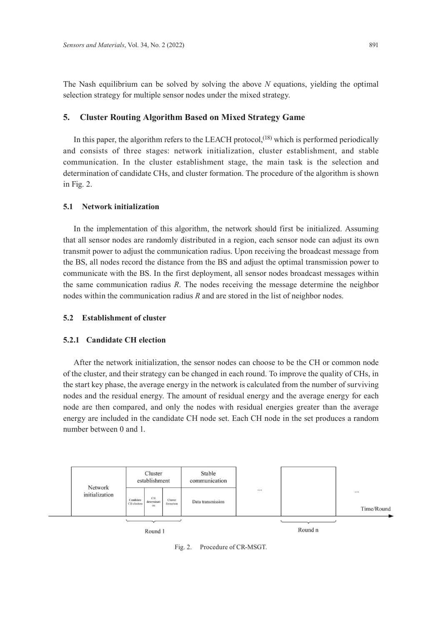The Nash equilibrium can be solved by solving the above *N* equations, yielding the optimal selection strategy for multiple sensor nodes under the mixed strategy.

# **5. Cluster Routing Algorithm Based on Mixed Strategy Game**

In this paper, the algorithm refers to the LEACH protocol,<sup> $(18)$ </sup> which is performed periodically and consists of three stages: network initialization, cluster establishment, and stable communication. In the cluster establishment stage, the main task is the selection and determination of candidate CHs, and cluster formation. The procedure of the algorithm is shown in Fig. 2.

# **5.1 Network initialization**

In the implementation of this algorithm, the network should first be initialized. Assuming that all sensor nodes are randomly distributed in a region, each sensor node can adjust its own transmit power to adjust the communication radius. Upon receiving the broadcast message from the BS, all nodes record the distance from the BS and adjust the optimal transmission power to communicate with the BS. In the first deployment, all sensor nodes broadcast messages within the same communication radius *R*. The nodes receiving the message determine the neighbor nodes within the communication radius *R* and are stored in the list of neighbor nodes.

## **5.2 Establishment of cluster**

## **5.2.1 Candidate CH election**

After the network initialization, the sensor nodes can choose to be the CH or common node of the cluster, and their strategy can be changed in each round. To improve the quality of CHs, in the start key phase, the average energy in the network is calculated from the number of surviving nodes and the residual energy. The amount of residual energy and the average energy for each node are then compared, and only the nodes with residual energies greater than the average energy are included in the candidate CH node set. Each CH node in the set produces a random number between 0 and 1.



Fig. 2. Procedure of CR-MSGT.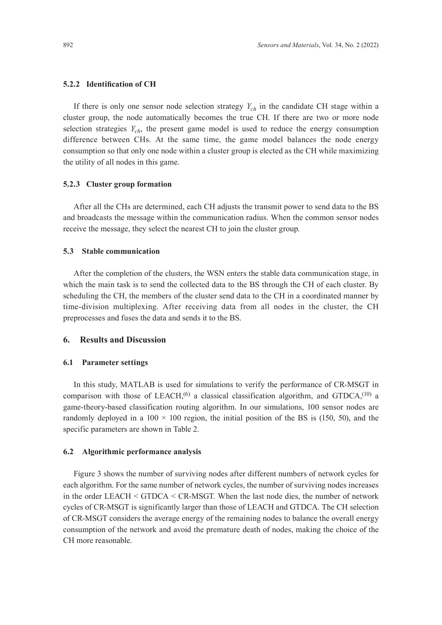#### **5.2.2 Identification of CH**

If there is only one sensor node selection strategy  $Y_{ch}$  in the candidate CH stage within a cluster group, the node automatically becomes the true CH. If there are two or more node selection strategies  $Y_{ch}$ , the present game model is used to reduce the energy consumption difference between CHs. At the same time, the game model balances the node energy consumption so that only one node within a cluster group is elected as the CH while maximizing the utility of all nodes in this game.

## **5.2.3 Cluster group formation**

After all the CHs are determined, each CH adjusts the transmit power to send data to the BS and broadcasts the message within the communication radius. When the common sensor nodes receive the message, they select the nearest CH to join the cluster group.

### **5.3 Stable communication**

After the completion of the clusters, the WSN enters the stable data communication stage, in which the main task is to send the collected data to the BS through the CH of each cluster. By scheduling the CH, the members of the cluster send data to the CH in a coordinated manner by time-division multiplexing. After receiving data from all nodes in the cluster, the CH preprocesses and fuses the data and sends it to the BS.

## **6. Results and Discussion**

### **6.1 Parameter settings**

In this study, MATLAB is used for simulations to verify the performance of CR-MSGT in comparison with those of LEACH,<sup> $(6)$ </sup> a classical classification algorithm, and GTDCA,<sup> $(10)$ </sup> a game-theory-based classification routing algorithm. In our simulations, 100 sensor nodes are randomly deployed in a  $100 \times 100$  region, the initial position of the BS is (150, 50), and the specific parameters are shown in Table 2.

#### **6.2 Algorithmic performance analysis**

Figure 3 shows the number of surviving nodes after different numbers of network cycles for each algorithm. For the same number of network cycles, the number of surviving nodes increases in the order LEACH < GTDCA < CR-MSGT. When the last node dies, the number of network cycles of CR-MSGT is significantly larger than those of LEACH and GTDCA. The CH selection of CR-MSGT considers the average energy of the remaining nodes to balance the overall energy consumption of the network and avoid the premature death of nodes, making the choice of the CH more reasonable.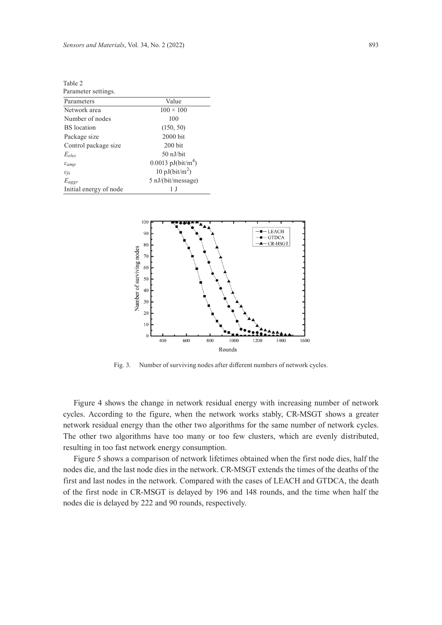$T_0 h l_0$ 

| $\mathbf{u}$                |                                  |  |  |
|-----------------------------|----------------------------------|--|--|
| Parameter settings.         |                                  |  |  |
| Parameters                  | Value                            |  |  |
| Network area                | $100 \times 100$                 |  |  |
| Number of nodes             | 100                              |  |  |
| <b>BS</b> location          | (150, 50)                        |  |  |
| Package size                | $2000$ bit                       |  |  |
| Control package size        | $200$ bit                        |  |  |
| $E_{elec}$                  | $50$ nJ/hit                      |  |  |
| $\varepsilon_{amp}$         | $0.0013$ pJ(bit/m <sup>4</sup> ) |  |  |
| $\varepsilon_{\textit{fs}}$ | 10 pJ(bit/m <sup>2</sup> )       |  |  |
| $E_{aggr}$                  | $5 \text{ nJ/(bit/message)}$     |  |  |
| Initial energy of node      |                                  |  |  |



Fig. 3. Number of surviving nodes after different numbers of network cycles.

Figure 4 shows the change in network residual energy with increasing number of network cycles. According to the figure, when the network works stably, CR-MSGT shows a greater network residual energy than the other two algorithms for the same number of network cycles. The other two algorithms have too many or too few clusters, which are evenly distributed, resulting in too fast network energy consumption.

Figure 5 shows a comparison of network lifetimes obtained when the first node dies, half the nodes die, and the last node dies in the network. CR-MSGT extends the times of the deaths of the first and last nodes in the network. Compared with the cases of LEACH and GTDCA, the death of the first node in CR-MSGT is delayed by 196 and 148 rounds, and the time when half the nodes die is delayed by 222 and 90 rounds, respectively.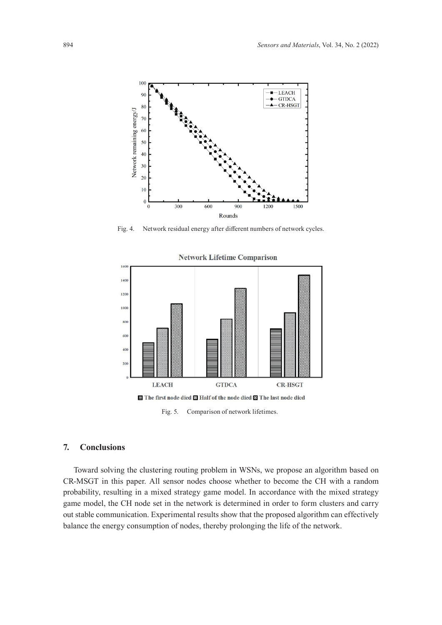

Fig. 4. Network residual energy after different numbers of network cycles.



#### **Network Lifetime Comparison**

Fig. 5. Comparison of network lifetimes.

# **7. Conclusions**

Toward solving the clustering routing problem in WSNs, we propose an algorithm based on CR-MSGT in this paper. All sensor nodes choose whether to become the CH with a random probability, resulting in a mixed strategy game model. In accordance with the mixed strategy game model, the CH node set in the network is determined in order to form clusters and carry out stable communication. Experimental results show that the proposed algorithm can effectively balance the energy consumption of nodes, thereby prolonging the life of the network.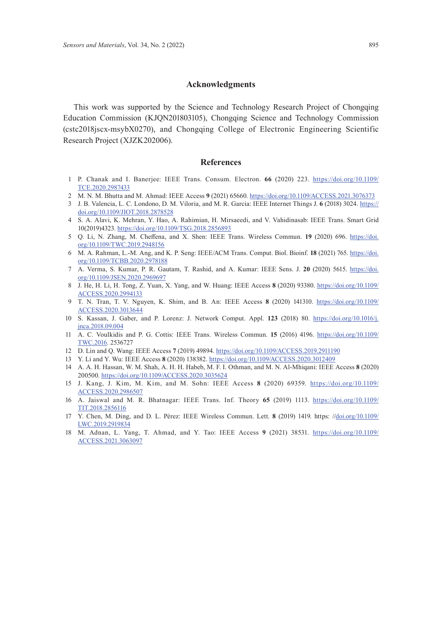## **Acknowledgments**

This work was supported by the Science and Technology Research Project of Chongqing Education Commission (KJQN201803105), Chongqing Science and Technology Commission (cstc2018jscx-msybX0270), and Chongqing College of Electronic Engineering Scientific Research Project (XJZK202006).

#### **References**

- 1 P. Chanak and I. Banerjee: IEEE Trans. Consum. Electron. **66** (2020) 223. [https://doi.org/10.1109/](https://doi.org/10.1109/TCE.2020.2987433) [TCE.2020.2987433](https://doi.org/10.1109/TCE.2020.2987433)
- 2 M. N. M. Bhutta and M. Ahmad: IEEE Access **9** (2021) 65660. <https://doi.org/10.1109/ACCESS.2021.3076373>
- 3 J. B. Valencia, L. C. Londono, D. M. Viloria, and M. R. Garcia: IEEE Internet Things J. **6** (2018) 3024. [https://](https://doi.org/10.1109/JIOT.2018.2878528) [doi.org/10.1109/JIOT.2018.2878528](https://doi.org/10.1109/JIOT.2018.2878528)
- 4 S. A. Alavi, K. Mehran, Y. Hao, A. Rahimian, H. Mirsaeedi, and V. Vahidinasab: IEEE Trans. Smart Grid 10(2019)4323.<https://doi.org/10.1109/TSG.2018.2856893>
- 5 Q. Li, N. Zhang, M. Cheffena, and X. Shen: IEEE Trans. Wireless Commun. **19** (2020) 696. [https://doi.](https://doi.org/10.1109/TWC.2019.2948156) [org/10.1109/TWC.2019.2948156](https://doi.org/10.1109/TWC.2019.2948156)
- 6 M. A. Rahman, L.-M. Ang, and K. P. Seng: IEEE/ACM Trans. Comput. Biol. Bioinf. **18** (2021) 765. [https://doi.](https://doi.org/10.1109/TCBB.2020.2978188) [org/10.1109/TCBB.2020.2978188](https://doi.org/10.1109/TCBB.2020.2978188)
- 7 A. Verma, S. Kumar, P. R. Gautam, T. Rashid, and A. Kumar: IEEE Sens. J. **20** (2020) 5615. [https://doi.](https://doi.org/10.1109/JSEN.2020.2969697) [org/10.1109/JSEN.2020.2969697](https://doi.org/10.1109/JSEN.2020.2969697)
- 8 J. He, H. Li, H. Tong, Z. Yuan, X. Yang, and W. Huang: IEEE Access **8** (2020) 93380. [https://doi.org/10.1109/](https://doi.org/10.1109/ACCESS.2020.2994133) [ACCESS.2020.2994133](https://doi.org/10.1109/ACCESS.2020.2994133)
- 9 T. N. Tran, T. V. Nguyen, K. Shim, and B. An: IEEE Access **8** (2020) 141310. [https://doi.org/10.1109/](https://doi.org/10.1109/ACCESS.2020.3013644) [ACCESS.2020.3013644](https://doi.org/10.1109/ACCESS.2020.3013644)
- 10 S. Kassan, J. Gaber, and P. Lorenz: J. Network Comput. Appl. **123** (2018) 80. [https://doi.org/10.1016/j.](https://doi.org/10.1016/j.jnca.2018.09.004) [jnca.2018.09.004](https://doi.org/10.1016/j.jnca.2018.09.004)
- 11 A. C. Voulkidis and P. G. Cottis: IEEE Trans. Wireless Commun. **15** (2016) 4196. [https://doi.org/10.1109/](https://doi.org/10.1109/TWC.2016) [TWC.2016](https://doi.org/10.1109/TWC.2016). 2536727
- 12 D. Lin and Q. Wang: IEEE Access **7** (2019) 49894.<https://doi.org/10.1109/ACCESS.2019.2911190>
- 13 Y. Li and Y. Wu: IEEE Access **8** (2020) 138382. <https://doi.org/10.1109/ACCESS.2020.3012409>
- 14 A. A. H. Hassan, W. M. Shah, A. H. H. Habeb, M. F. I. Othman, and M. N. Al-Mhiqani: IEEE Access **8** (2020) 200500. <https://doi.org/10.1109/ACCESS.2020.3035624>
- 15 J. Kang, J. Kim, M. Kim, and M. Sohn: IEEE Access **8** (2020) 69359. [https://doi.org/10.1109/](https://doi.org/10.1109/ACCESS.2020.2986507) [ACCESS.2020.2986507](https://doi.org/10.1109/ACCESS.2020.2986507)
- 16 A. Jaiswal and M. R. Bhatnagar: IEEE Trans. Inf. Theory **65** (2019) 1113. [https://doi.org/10.1109/](https://doi.org/10.1109/TIT.2018.2856116) [TIT.2018.2856116](https://doi.org/10.1109/TIT.2018.2856116)
- 17 Y. Chen, M. Ding, and D. L. Pérez: IEEE Wireless Commun. Lett. **8** (2019) 1419. https: /[/doi.org/10.1109/](http://doi.org/10.1109/LWC.2019.2919834) [LWC.2019.2919834](http://doi.org/10.1109/LWC.2019.2919834)
- 18 M. Adnan, L. Yang, T. Ahmad, and Y. Tao: IEEE Access **9** (2021) 38531. [https://doi.org/10.1109/](https://doi.org/10.1109/ACCESS.2021.3063097) [ACCESS.2021.3063097](https://doi.org/10.1109/ACCESS.2021.3063097)